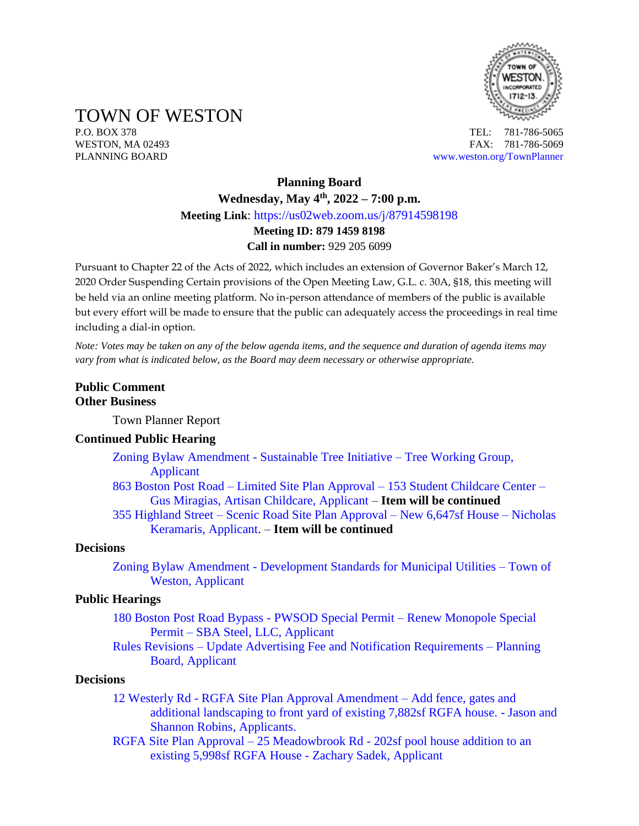

TOWN OF WESTON

P.O. BOX 378 TEL: 781-786-5065 WESTON, MA 02493 **FAX: 781-786-5069** PLANNING BOARD [www.weston.org/TownPlanner](http://www.weston.org/TownPlanner)

# **Planning Board Wednesday, May 4th , 2022 – 7:00 p.m. Meeting Link**: <https://us02web.zoom.us/j/87914598198> **Meeting ID: 879 1459 8198 Call in number:** 929 205 6099

Pursuant to Chapter 22 of the Acts of 2022, which includes an extension of Governor Baker's March 12, 2020 Order Suspending Certain provisions of the Open Meeting Law, G.L. c. 30A, §18, this meeting will be held via an online meeting platform. No in-person attendance of members of the public is available but every effort will be made to ensure that the public can adequately access the proceedings in real time including a dial-in option.

*Note: Votes may be taken on any of the below agenda items, and the sequence and duration of agenda items may vary from what is indicated below, as the Board may deem necessary or otherwise appropriate.*

# **Public Comment Other Business**

Town Planner Report

### **Continued Public Hearing**

- [Zoning Bylaw Amendment -](https://www.westonma.gov/DocumentCenter/Index/2283) Sustainable Tree Initiative Tree Working Group, [Applicant](https://www.westonma.gov/DocumentCenter/Index/2283)
- 863 Boston Post Road [Limited Site Plan Approval –](https://www.westonma.gov/DocumentCenter/Index/4598) 153 Student Childcare Center [Gus Miragias, Artisan Childcare, Applicant](https://www.westonma.gov/DocumentCenter/Index/4598) – **Item will be continued**
- 355 Highland Street [Scenic Road Site Plan Approval –](https://www.westonma.gov/DocumentCenter/Index/4612) New 6,647sf House Nicholas [Keramaris, Applicant.](https://www.westonma.gov/DocumentCenter/Index/4612) – **Item will be continued**

#### **Decisions**

Zoning Bylaw Amendment - [Development Standards for Municipal Utilities –](https://www.westonma.gov/DocumentCenter/Index/4580) Town of [Weston, Applicant](https://www.westonma.gov/DocumentCenter/Index/4580)

### **Public Hearings**

- [180 Boston Post Road Bypass -](https://www.westonma.gov/DocumentCenter/Index/4691) PWSOD Special Permit Renew Monopole Special Permit – [SBA Steel, LLC, Applicant](https://www.westonma.gov/DocumentCenter/Index/4691)
- Rules Revisions [Update Advertising Fee and Notification Requirements –](https://www.westonma.gov/DocumentCenter/Index/4687) Planning [Board, Applicant](https://www.westonma.gov/DocumentCenter/Index/4687)

#### **Decisions**

- 12 Westerly Rd [RGFA Site Plan Approval Amendment –](https://www.westonma.gov/DocumentCenter/Index/4627) Add fence, gates and [additional landscaping to front yard of existing 7,882sf RGFA house.](https://www.westonma.gov/DocumentCenter/Index/4627) - Jason and Shannon [Robins, Applicants.](https://www.westonma.gov/DocumentCenter/Index/4627)
- RGFA Site Plan Approval 25 Meadowbrook Rd [202sf pool house addition to an](https://www.westonma.gov/DocumentCenter/Index/4639)  [existing 5,998sf RGFA House -](https://www.westonma.gov/DocumentCenter/Index/4639) Zachary Sadek, Applicant